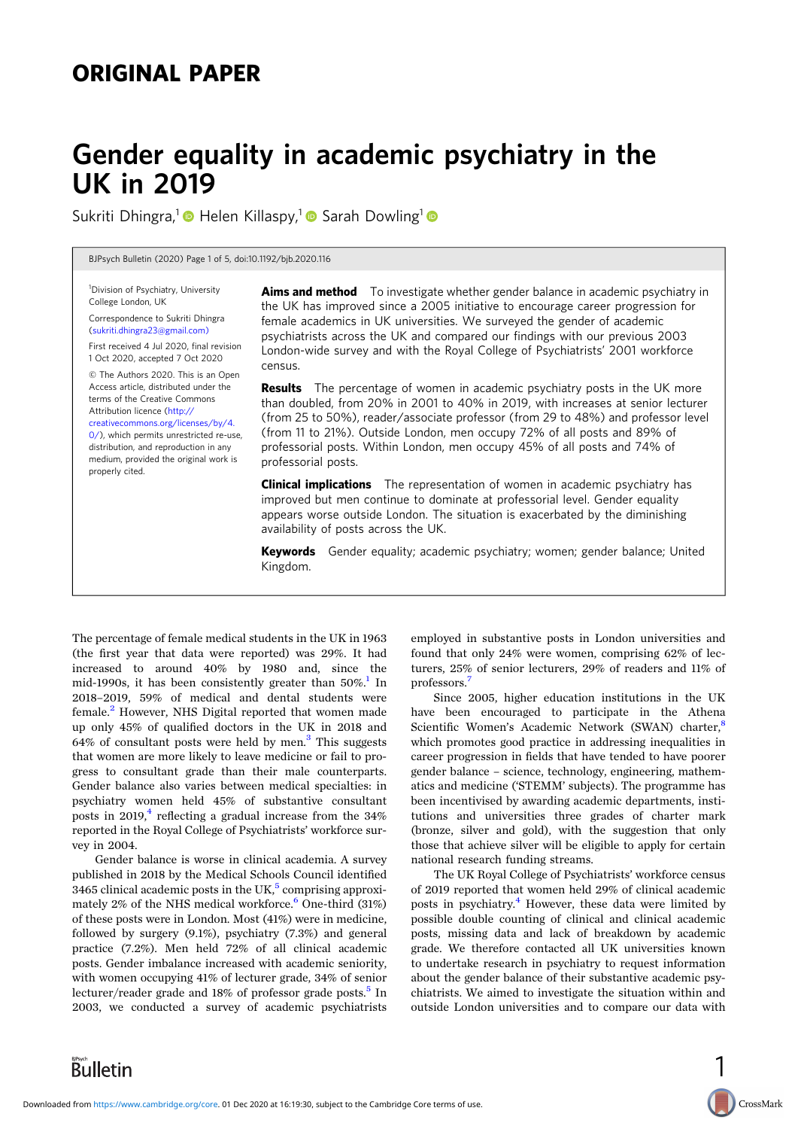# ORIGINAL PAPER

# Gender equality in academic psychiatry in the UK in 2019

Sukriti Dhingra,<sup>1</sup> Helen Killaspy,<sup>1</sup> Sarah Dowling<sup>1</sup>

BJPsych Bulletin (2020) Page 1 of 5, doi:10.1192/bjb.2020.116

<sup>1</sup>Division of Psychiatry, University College London, UK

Correspondence to Sukriti Dhingra [\(sukriti.dhingra23@gmail.com\)](mailto:sukriti.dhingra23@gmail.com))

First received 4 Jul 2020, final revision 1 Oct 2020, accepted 7 Oct 2020

© The Authors 2020. This is an Open Access article, distributed under the terms of the Creative Commons Attribution licence [\(http://](http://creativecommons.org/licenses/by/4.0/) [creativecommons.org/licenses/by/4.](http://creativecommons.org/licenses/by/4.0/) [0/](http://creativecommons.org/licenses/by/4.0/)), which permits unrestricted re-use, distribution, and reproduction in any medium, provided the original work is properly cited.

Aims and method To investigate whether gender balance in academic psychiatry in the UK has improved since a 2005 initiative to encourage career progression for female academics in UK universities. We surveyed the gender of academic psychiatrists across the UK and compared our findings with our previous 2003 London-wide survey and with the Royal College of Psychiatrists' 2001 workforce census.

**Results** The percentage of women in academic psychiatry posts in the UK more than doubled, from 20% in 2001 to 40% in 2019, with increases at senior lecturer (from 25 to 50%), reader/associate professor (from 29 to 48%) and professor level (from 11 to 21%). Outside London, men occupy 72% of all posts and 89% of professorial posts. Within London, men occupy 45% of all posts and 74% of professorial posts.

**Clinical implications** The representation of women in academic psychiatry has improved but men continue to dominate at professorial level. Gender equality appears worse outside London. The situation is exacerbated by the diminishing availability of posts across the UK.

Keywords Gender equality; academic psychiatry; women; gender balance; United Kingdom.

The percentage of female medical students in the UK in 1963 (the first year that data were reported) was 29%. It had increased to around 40% by 1980 and, since the mid-1990s, it has been consistently greater than  $50\%$ .<sup>1</sup> In 2018–2019, 59% of medical and dental students were female.[2](#page-4-0) However, NHS Digital reported that women made up only 45% of qualified doctors in the UK in 2018 and 64% of consultant posts were held by men.<sup>[3](#page-4-0)</sup> This suggests that women are more likely to leave medicine or fail to progress to consultant grade than their male counterparts. Gender balance also varies between medical specialties: in psychiatry women held 45% of substantive consultant posts in 2019,<sup>[4](#page-4-0)</sup> reflecting a gradual increase from the  $34\%$ reported in the Royal College of Psychiatrists' workforce survey in 2004.

Gender balance is worse in clinical academia. A survey published in 2018 by the Medical Schools Council identified 3465 clinical academic posts in the UK, $5$  comprising approximately  $2\%$  of the NHS medical workforce.<sup>[6](#page-4-0)</sup> One-third (31%) of these posts were in London. Most (41%) were in medicine, followed by surgery (9.1%), psychiatry (7.3%) and general practice (7.2%). Men held 72% of all clinical academic posts. Gender imbalance increased with academic seniority, with women occupying 41% of lecturer grade, 34% of senior lecturer/reader grade and  $18\%$  of professor grade posts.<sup>[5](#page-4-0)</sup> In 2003, we conducted a survey of academic psychiatrists

employed in substantive posts in London universities and found that only 24% were women, comprising 62% of lecturers, 25% of senior lecturers, 29% of readers and 11% of professors<sup>[7](#page-4-0)</sup>

Since 2005, higher education institutions in the UK have been encouraged to participate in the Athena Scientific Women's Academic Network (SWAN) charter,<sup>[8](#page-4-0)</sup> which promotes good practice in addressing inequalities in career progression in fields that have tended to have poorer gender balance – science, technology, engineering, mathematics and medicine ('STEMM' subjects). The programme has been incentivised by awarding academic departments, institutions and universities three grades of charter mark (bronze, silver and gold), with the suggestion that only those that achieve silver will be eligible to apply for certain national research funding streams.

The UK Royal College of Psychiatrists' workforce census of 2019 reported that women held 29% of clinical academic posts in psychiatry.<sup>[4](#page-4-0)</sup> However, these data were limited by possible double counting of clinical and clinical academic posts, missing data and lack of breakdown by academic grade. We therefore contacted all UK universities known to undertake research in psychiatry to request information about the gender balance of their substantive academic psychiatrists. We aimed to investigate the situation within and outside London universities and to compare our data with

1

CrossMark

**Bulletin**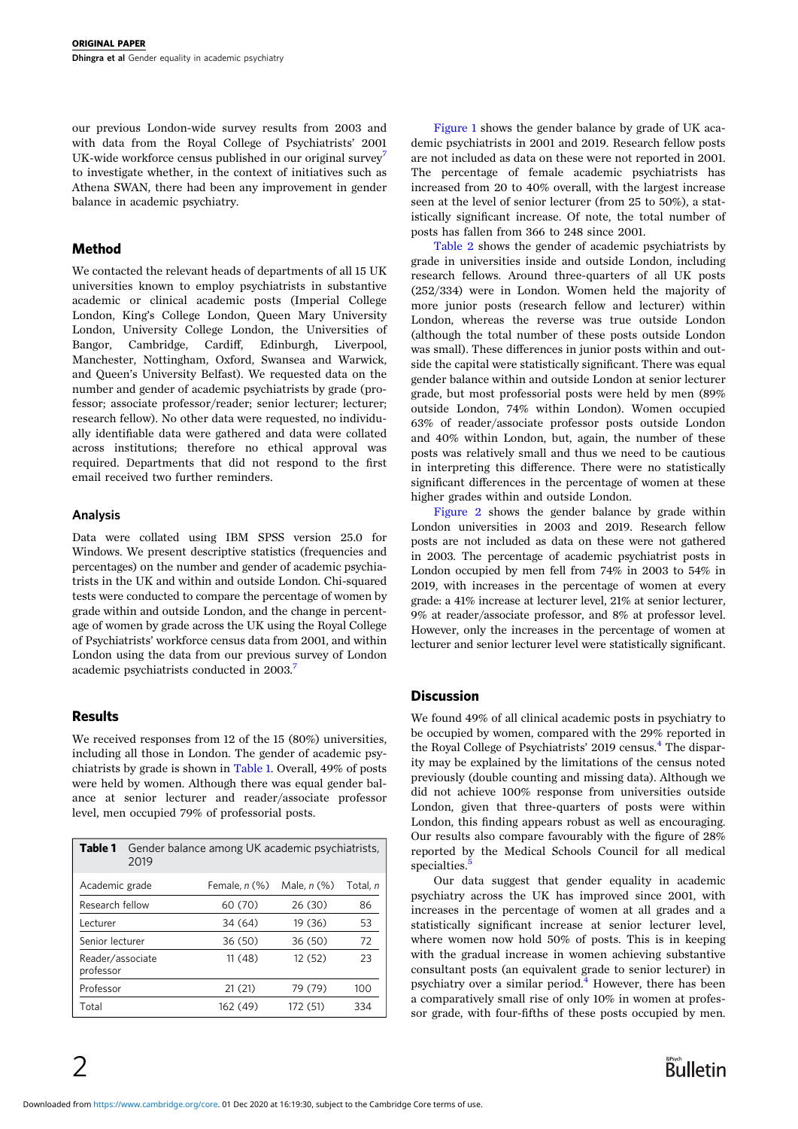our previous London-wide survey results from 2003 and with data from the Royal College of Psychiatrists' 2001 UK-wide workforce census published in our original survey<sup>[7](#page-4-0)</sup> to investigate whether, in the context of initiatives such as Athena SWAN, there had been any improvement in gender balance in academic psychiatry.

# Method

We contacted the relevant heads of departments of all 15 UK universities known to employ psychiatrists in substantive academic or clinical academic posts (Imperial College London, King's College London, Queen Mary University London, University College London, the Universities of Bangor, Cambridge, Cardiff, Edinburgh, Liverpool, Manchester, Nottingham, Oxford, Swansea and Warwick, and Queen's University Belfast). We requested data on the number and gender of academic psychiatrists by grade (professor; associate professor/reader; senior lecturer; lecturer; research fellow). No other data were requested, no individually identifiable data were gathered and data were collated across institutions; therefore no ethical approval was required. Departments that did not respond to the first email received two further reminders.

# Analysis

Data were collated using IBM SPSS version 25.0 for Windows. We present descriptive statistics (frequencies and percentages) on the number and gender of academic psychiatrists in the UK and within and outside London. Chi-squared tests were conducted to compare the percentage of women by grade within and outside London, and the change in percentage of women by grade across the UK using the Royal College of Psychiatrists' workforce census data from 2001, and within London using the data from our previous survey of London academic psychiatrists conducted in 2003.<sup>7</sup>

# Results

We received responses from 12 of the 15 (80%) universities, including all those in London. The gender of academic psychiatrists by grade is shown in Table 1. Overall, 49% of posts were held by women. Although there was equal gender balance at senior lecturer and reader/associate professor level, men occupied 79% of professorial posts.

| Table 1                       | Gender balance among UK academic psychiatrists,<br>2019 |                 |                  |          |  |  |  |  |  |
|-------------------------------|---------------------------------------------------------|-----------------|------------------|----------|--|--|--|--|--|
| Academic grade                |                                                         | Female, $n$ (%) | Male, $n$ $(\%)$ | Total, n |  |  |  |  |  |
| Research fellow               |                                                         | 60 (70)         | 26 (30)          | 86       |  |  |  |  |  |
| Lecturer                      |                                                         | 34 (64)         | 19 (36)          | 53       |  |  |  |  |  |
| Senior lecturer               |                                                         | 36 (50)         | 36 (50)          | 72       |  |  |  |  |  |
| Reader/associate<br>professor |                                                         | 11(48)          | 12(52)           | 23       |  |  |  |  |  |
| Professor                     |                                                         | 21(21)          | 79 (79)          | 100      |  |  |  |  |  |
| Total                         |                                                         | 162 (49)        | 172 (51)         | 334      |  |  |  |  |  |

 $\mathcal{P}$ 

[Figure 1](#page-2-0) shows the gender balance by grade of UK academic psychiatrists in 2001 and 2019. Research fellow posts are not included as data on these were not reported in 2001. The percentage of female academic psychiatrists has increased from 20 to 40% overall, with the largest increase seen at the level of senior lecturer (from 25 to 50%), a statistically significant increase. Of note, the total number of posts has fallen from 366 to 248 since 2001.

[Table 2](#page-2-0) shows the gender of academic psychiatrists by grade in universities inside and outside London, including research fellows. Around three-quarters of all UK posts (252/334) were in London. Women held the majority of more junior posts (research fellow and lecturer) within London, whereas the reverse was true outside London (although the total number of these posts outside London was small). These differences in junior posts within and outside the capital were statistically significant. There was equal gender balance within and outside London at senior lecturer grade, but most professorial posts were held by men (89% outside London, 74% within London). Women occupied 63% of reader/associate professor posts outside London and 40% within London, but, again, the number of these posts was relatively small and thus we need to be cautious in interpreting this difference. There were no statistically significant differences in the percentage of women at these higher grades within and outside London.

[Figure 2](#page-3-0) shows the gender balance by grade within London universities in 2003 and 2019. Research fellow posts are not included as data on these were not gathered in 2003. The percentage of academic psychiatrist posts in London occupied by men fell from 74% in 2003 to 54% in 2019, with increases in the percentage of women at every grade: a 41% increase at lecturer level, 21% at senior lecturer, 9% at reader/associate professor, and 8% at professor level. However, only the increases in the percentage of women at lecturer and senior lecturer level were statistically significant.

# **Discussion**

We found 49% of all clinical academic posts in psychiatry to be occupied by women, compared with the 29% reported in the Royal College of Psychiatrists' 2019 census.<sup>[4](#page-4-0)</sup> The disparity may be explained by the limitations of the census noted previously (double counting and missing data). Although we did not achieve 100% response from universities outside London, given that three-quarters of posts were within London, this finding appears robust as well as encouraging. Our results also compare favourably with the figure of 28% reported by the Medical Schools Council for all medical specialties.<sup>[5](#page-4-0)</sup>

Our data suggest that gender equality in academic psychiatry across the UK has improved since 2001, with increases in the percentage of women at all grades and a statistically significant increase at senior lecturer level, where women now hold 50% of posts. This is in keeping with the gradual increase in women achieving substantive consultant posts (an equivalent grade to senior lecturer) in psychiatry over a similar period.[4](#page-4-0) However, there has been a comparatively small rise of only 10% in women at professor grade, with four-fifths of these posts occupied by men.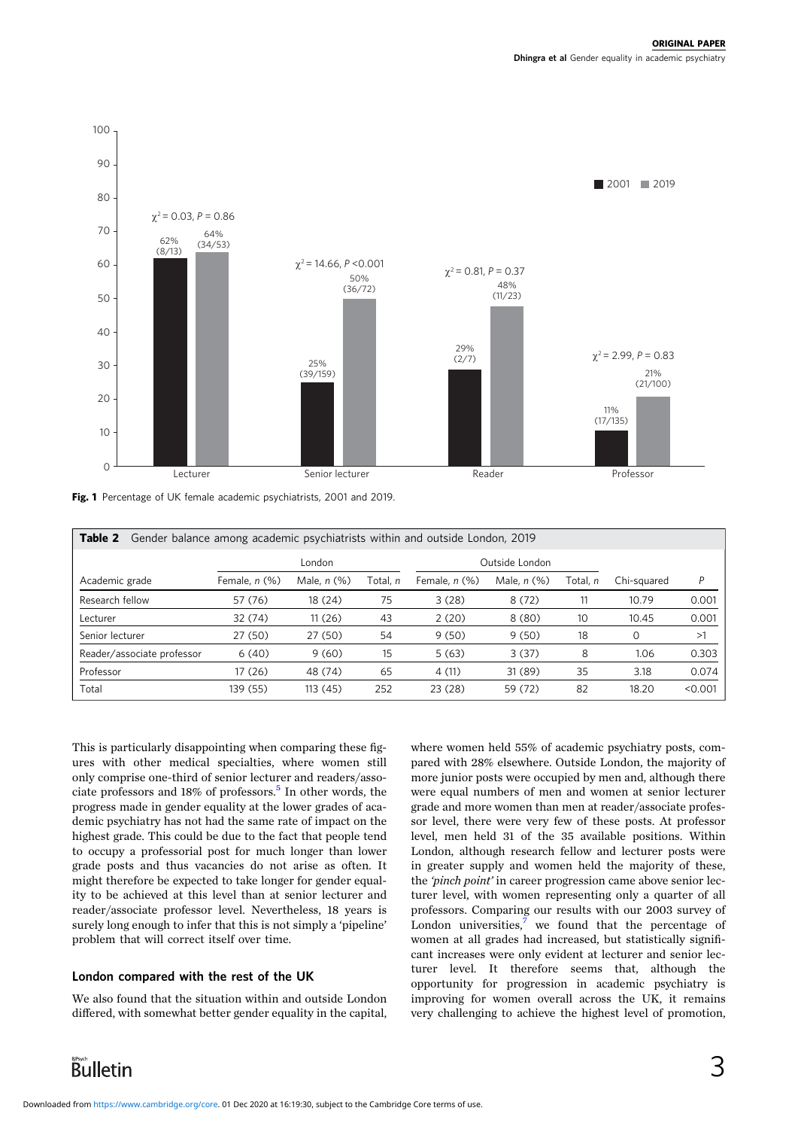<span id="page-2-0"></span>

Fig. 1 Percentage of UK female academic psychiatrists, 2001 and 2019.

| Gender balance among academic psychiatrists within and outside London, 2019<br>Table 2 |               |                  |                |                    |                  |          |             |         |  |  |  |
|----------------------------------------------------------------------------------------|---------------|------------------|----------------|--------------------|------------------|----------|-------------|---------|--|--|--|
|                                                                                        | London        |                  | Outside London |                    |                  |          |             |         |  |  |  |
| Academic grade                                                                         | Female, n (%) | Male, $n$ $(\%)$ | Total. n       | Female, $n$ $(\%)$ | Male, $n$ $(\%)$ | Total. n | Chi-sauared | P       |  |  |  |
| Research fellow                                                                        | 57 (76)       | 18 (24)          | 75             | 3(28)              | 8(72)            | 11       | 10.79       | 0.001   |  |  |  |
| Lecturer                                                                               | 32 (74)       | 11(26)           | 43             | 2(20)              | 8(80)            | 10       | 10.45       | 0.001   |  |  |  |
| Senior lecturer                                                                        | 27 (50)       | 27 (50)          | 54             | 9(50)              | 9(50)            | 18       | $\Omega$    | >1      |  |  |  |
| Reader/associate professor                                                             | 6(40)         | 9(60)            | 15             | 5(63)              | 3(37)            | 8        | 1.06        | 0.303   |  |  |  |
| Professor                                                                              | 17 (26)       | 48 (74)          | 65             | 4(11)              | 31 (89)          | 35       | 3.18        | 0.074   |  |  |  |
| Total                                                                                  | 139 (55)      | 113 (45)         | 252            | 23(28)             | 59 (72)          | 82       | 18.20       | < 0.001 |  |  |  |

This is particularly disappointing when comparing these figures with other medical specialties, where women still only comprise one-third of senior lecturer and readers/asso-ciate professors and 18% of professors.<sup>[5](#page-4-0)</sup> In other words, the progress made in gender equality at the lower grades of academic psychiatry has not had the same rate of impact on the highest grade. This could be due to the fact that people tend to occupy a professorial post for much longer than lower grade posts and thus vacancies do not arise as often. It might therefore be expected to take longer for gender equality to be achieved at this level than at senior lecturer and reader/associate professor level. Nevertheless, 18 years is surely long enough to infer that this is not simply a 'pipeline' problem that will correct itself over time.

# London compared with the rest of the UK

We also found that the situation within and outside London differed, with somewhat better gender equality in the capital,

where women held 55% of academic psychiatry posts, compared with 28% elsewhere. Outside London, the majority of more junior posts were occupied by men and, although there were equal numbers of men and women at senior lecturer grade and more women than men at reader/associate professor level, there were very few of these posts. At professor level, men held 31 of the 35 available positions. Within London, although research fellow and lecturer posts were in greater supply and women held the majority of these, the 'pinch point' in career progression came above senior lecturer level, with women representing only a quarter of all professors. Comparing our results with our 2003 survey of London universities, $7$  we found that the percentage of women at all grades had increased, but statistically significant increases were only evident at lecturer and senior lecturer level. It therefore seems that, although the opportunity for progression in academic psychiatry is improving for women overall across the UK, it remains very challenging to achieve the highest level of promotion,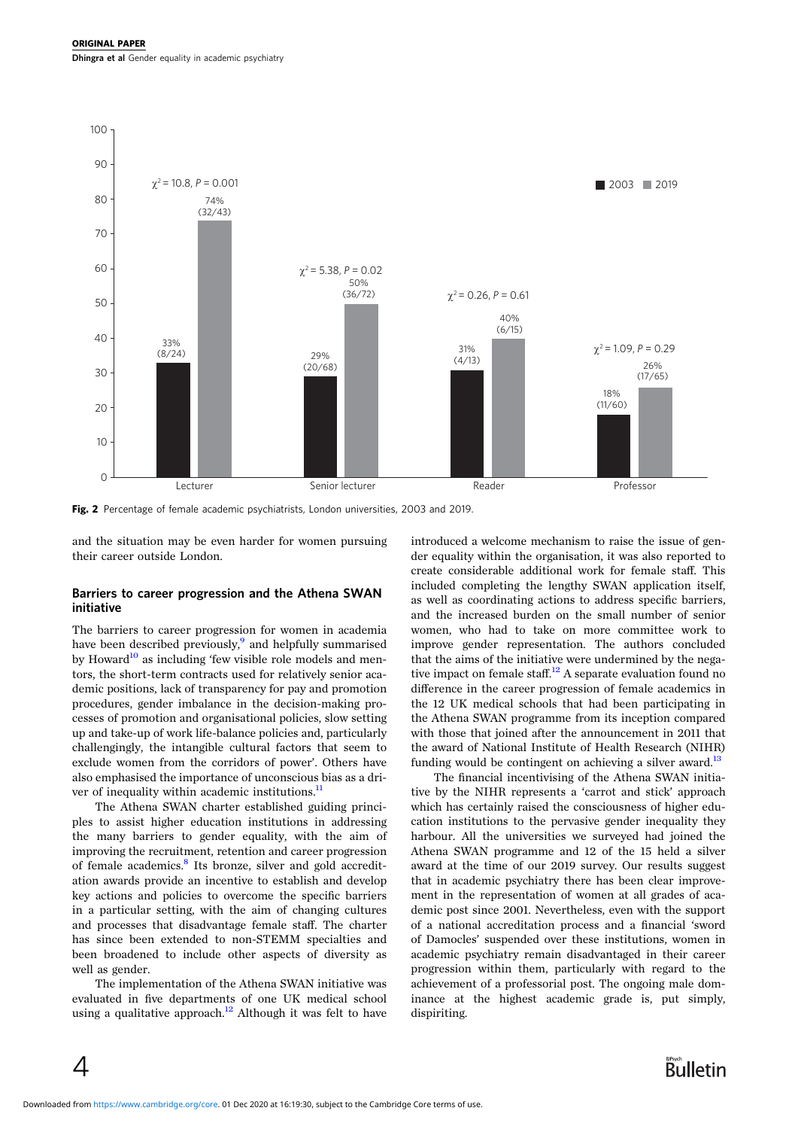<span id="page-3-0"></span>

Fig. 2 Percentage of female academic psychiatrists, London universities, 2003 and 2019.

and the situation may be even harder for women pursuing their career outside London.

#### Barriers to career progression and the Athena SWAN initiative

The barriers to career progression for women in academia have been described previously,<sup>9</sup> and helpfully summarised by Howard<sup>[10](#page-4-0)</sup> as including 'few visible role models and mentors, the short-term contracts used for relatively senior academic positions, lack of transparency for pay and promotion procedures, gender imbalance in the decision-making processes of promotion and organisational policies, slow setting up and take-up of work life-balance policies and, particularly challengingly, the intangible cultural factors that seem to exclude women from the corridors of power'. Others have also emphasised the importance of unconscious bias as a driver of inequality within academic institutions. $<sup>11</sup>$  $<sup>11</sup>$  $<sup>11</sup>$ </sup>

The Athena SWAN charter established guiding principles to assist higher education institutions in addressing the many barriers to gender equality, with the aim of improving the recruitment, retention and career progression of female academics.<sup>[8](#page-4-0)</sup> Its bronze, silver and gold accreditation awards provide an incentive to establish and develop key actions and policies to overcome the specific barriers in a particular setting, with the aim of changing cultures and processes that disadvantage female staff. The charter has since been extended to non-STEMM specialties and been broadened to include other aspects of diversity as well as gender.

The implementation of the Athena SWAN initiative was evaluated in five departments of one UK medical school using a qualitative approach.<sup>[12](#page-4-0)</sup> Although it was felt to have

4

introduced a welcome mechanism to raise the issue of gender equality within the organisation, it was also reported to create considerable additional work for female staff. This included completing the lengthy SWAN application itself, as well as coordinating actions to address specific barriers, and the increased burden on the small number of senior women, who had to take on more committee work to improve gender representation. The authors concluded that the aims of the initiative were undermined by the nega-tive impact on female staff.<sup>[12](#page-4-0)</sup> A separate evaluation found no difference in the career progression of female academics in the 12 UK medical schools that had been participating in the Athena SWAN programme from its inception compared with those that joined after the announcement in 2011 that the award of National Institute of Health Research (NIHR) funding would be contingent on achieving a silver award.<sup>[13](#page-4-0)</sup>

The financial incentivising of the Athena SWAN initiative by the NIHR represents a 'carrot and stick' approach which has certainly raised the consciousness of higher education institutions to the pervasive gender inequality they harbour. All the universities we surveyed had joined the Athena SWAN programme and 12 of the 15 held a silver award at the time of our 2019 survey. Our results suggest that in academic psychiatry there has been clear improvement in the representation of women at all grades of academic post since 2001. Nevertheless, even with the support of a national accreditation process and a financial 'sword of Damocles' suspended over these institutions, women in academic psychiatry remain disadvantaged in their career progression within them, particularly with regard to the achievement of a professorial post. The ongoing male dominance at the highest academic grade is, put simply, dispiriting.

**Bulletin**